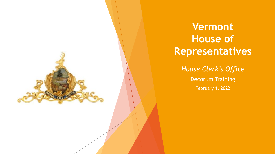

**Vermont House of Representatives**

*House Clerk's Office* Decorum Training February 1, 2022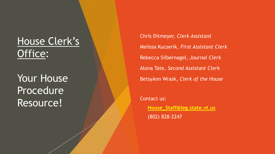# House Clerk's Office:

Your House Procedure Resource!

Chris Ditmeyer, *Clerk Assistant* Melissa Kucserik, *First Assistant Clerk* Rebecca Silbernagel, *Journal Clerk* Alona Tate, *Second Assistant Clerk* BetsyAnn Wrask, *Clerk of the House*

Contact us: ▪ **[House\\_Staff@leg.state.vt.us](mailto:House_Staff@leg.state.vt.us)** ▪ (802) 828-2247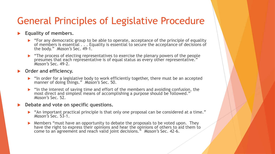### General Principles of Legislative Procedure

#### **Equality of members.**

- $\blacktriangleright$  "For any democratic group to be able to operate, acceptance of the principle of equality of members is essential . . . Equality is essential to secure the acceptance of decisions of the body." *Mason's* Sec. 49-1.
- "The process of electing representatives to exercise the plenary powers of the people presumes that each representative is of equal status as every other representative." *Mason's* Sec. 49-2.

#### **Order and efficiency.**

- $\blacktriangleright$  "In order for a legislative body to work efficiently together, there must be an accepted manner of doing things." *Mason's* Sec. 50.
- $\blacktriangleright$  "In the interest of saving time and effort of the members and avoiding confusion, the most direct and simplest means of accomplishing a purpose should be followed." *Mason's* Sec. 52.

#### **Debate and vote on specific questions.**

- "An important practical principle is that only one proposal can be considered at a time." *Mason's* Sec. 53-1.
- ▶ Members "must have an opportunity to debate the proposals to be voted upon. They have the right to express their opinions and hear the opinions of others to aid them to come to an agreement and reach valid joint decisions." *Mason's* Sec. 42-6.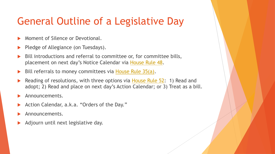# General Outline of a Legislative Day

- Moment of Silence or Devotional.
- Pledge of Allegiance (on Tuesdays).
- Bill introductions and referral to committee or, for committee bills, placement on next day's Notice Calendar via [House Rule 48.](https://legislature.vermont.gov/assets/Rules/House-Rules-2-25-2021.pdf)
- Bill referrals to money committees via [House Rule 35\(a\)](https://legislature.vermont.gov/assets/Rules/House-Rules-2-25-2021.pdf).
- Reading of resolutions, with three options via **House Rule 52:** 1) Read and adopt; 2) Read and place on next day's Action Calendar; or 3) Treat as a bill.
- Announcements.
- Action Calendar, a.k.a. "Orders of the Day."
- Announcements.
- Adjourn until next legislative day.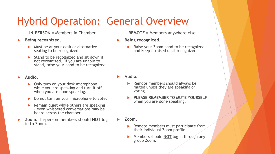# Hybrid Operation: General Overview

**IN-PERSON** = Members in Chamber

#### **Being recognized.**

- Must be at your desk or alternative seating to be recognized.
- Stand to be recognized and sit down if not recognized. If you are unable to stand, raise your hand to be recognized.

#### **Audio.**

- **Diam** Only turn on your desk microphone while you are speaking and turn it off when you are done speaking.
- Do not turn on your microphone to vote.
- **Remain quiet while others are speaking** – even whispered conversations may be heard across the chamber.
- **Zoom.** In-person members should **NOT** log in to Zoom.

**REMOTE** = Members anywhere else

- **Being recognized.**
	- Raise your Zoom hand to be recognized and keep it raised until recognized.

- **Audio.**
	- Remote members should always be muted unless they are speaking or voting.
	- **PLEASE REMEMBER TO MUTE YOURSELF**  when you are done speaking.
- **Zoom.** 
	- Remote members must participate from their individual Zoom profile.
	- Members should **NOT** log in through any group Zoom.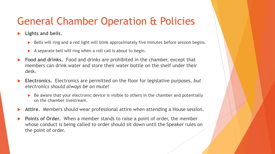## General Chamber Operation & Policies

**Lights and bells.**

- Bells will ring and a red light will blink approximately five minutes before session begins.
- A separate bell will ring when a roll call is about to begin.
- **Food and drinks.** Food and drinks are prohibited in the chamber, except that members can drink water and store their water bottle on the shelf under their desk.
- **Electronics.** Electronics are permitted on the floor for legislative purposes, *but electronics should always be on mute!*
	- Be aware that your electronic device is visible to others in the chamber and potentially on the chamber livestream.
- **Attire.** Members should wear professional attire when attending a House session.
- **Points of Order.** When a member stands to raise a point of order, the member whose conduct is being called to order should sit down until the Speaker rules on the point of order.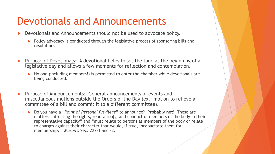## Devotionals and Announcements

- Devotionals and Announcements should not be used to advocate policy.
	- Policy advocacy is conducted through the legislative process of sponsoring bills and resolutions.
- Purpose of Devotionals: A devotional helps to set the tone at the beginning of a legislative day and allows a few moments for reflection and contemplation.
	- $\triangleright$  No one (including members!) is permitted to enter the chamber while devotionals are being conducted.
- Purpose of Announcements: General announcements of events and miscellaneous motions outside the Orders of the Day (ex.: motion to relieve a committee of a bill and commit it to a different committee).
	- ▶ Do you have a "*Point of Personal Privilege*" to announce? **Probably not!** These are matters "affecting the rights, reputation[,] and conduct of members of the body in their representative capacity" and "must relate to persons as members of the body or relate to charges against their character that would, if true, incapacitate them for membership." *Mason's* Sec. 222-1 and -2.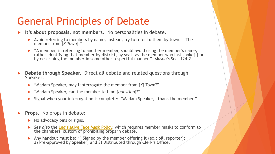## General Principles of Debate

- **It's about proposals, not members.** No personalities in debate.
	- Avoid referring to members by name; instead, try to refer to them by town: "The member from [*X Town*]."
	- "A member, in referring to another member, should avoid using the member's name, rather identifying that member by district, by seat, as the member who last spoke[,] or by describing the member in some other respectful manner." *Mason's* Sec. 124-2.
- **Debate through Speaker.** Direct all debate and related questions through Speaker:
	- "Madam Speaker, may I interrogate the member from [*X*] Town?"
	- "Madam Speaker, can the member tell me [*question*]?"
	- Signal when your interrogation is complete: "Madam Speaker, I thank the member."
- **Props.** No props in debate:
	- $\triangleright$  No advocacy pins or signs.
	- **►** See also the [Legislative Face Mask Policy,](https://legislature.vermont.gov/Documents/2022/WorkGroups/Joint%20Rules/Highlights/Legislative%20Face%20Mask%20Policy(rev.1-12-22).pdf) which requires member masks to conform to the chambers' custom of prohibiting props in debate.
	- Any handout must be: 1) Signed by the member offering it (ex.: bill reporter); 2) Pre-approved by Speaker; and 3) Distributed through Clerk's Office.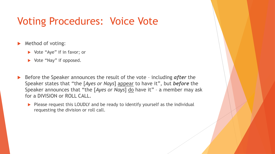### Voting Procedures: Voice Vote

- Method of voting:
	- ▶ Vote "Aye" if in favor; or
	- ▶ Vote "Nay" if opposed.
- Before the Speaker announces the result of the vote including *after* the Speaker states that "the [*Ayes or Nays*] appear to have it", but *before* the Speaker announces that "the [*Ayes or Nays*] do have it" – a member may ask for a DIVISION or ROLL CALL.
	- Please request this LOUDLY and be ready to identify yourself as the individual requesting the division or roll call.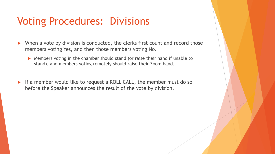## Voting Procedures: Divisions

- ▶ When a vote by division is conducted, the clerks first count and record those members voting Yes, and then those members voting No.
	- Members voting in the chamber should stand (or raise their hand if unable to stand), and members voting remotely should raise their Zoom hand.
- $\blacktriangleright$  If a member would like to request a ROLL CALL, the member must do so before the Speaker announces the result of the vote by division.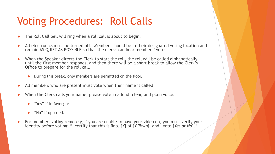# Voting Procedures: Roll Calls

- The Roll Call bell will ring when a roll call is about to begin.
- All electronics must be turned off. Members should be in their designated voting location and remain AS QUIET AS POSSIBLE so that the clerks can hear members' votes.
- ▶ When the Speaker directs the Clerk to start the roll, the roll will be called alphabetically until the first member responds, and then there will be a short break to allow the Clerk's Office to prepare for the roll call.
	- During this break, only members are permitted on the floor.
- All members who are present must vote when their name is called.
- When the Clerk calls your name, please vote in a loud, clear, and plain voice:
	- ▶ "Yes" if in favor; or
	- lacktriangleright Wo'' if opposed.
- For members voting remotely, if you are unable to have your video on, you must verify your identity before voting: "I certify that this is Rep. [*X*] of [*Y Town*], and I vote [*Yes or No*]."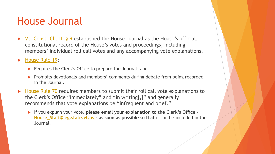## House Journal

▶ [Vt. Const. Ch. II,](https://legislature.vermont.gov/statutes/constitution-of-the-state-of-vermont/) § 9 established the House Journal as the House's official, constitutional record of the House's votes and proceedings, including members' individual roll call votes and any accompanying vote explanations.

[House Rule 19:](https://legislature.vermont.gov/assets/Rules/House-Rules-2-25-2021.pdf)

- Requires the Clerk's Office to prepare the Journal; and
- Prohibits devotionals and members' comments during debate from being recorded in the Journal.
- [House Rule 70](https://legislature.vermont.gov/assets/Rules/House-Rules-2-25-2021.pdf) requires members to submit their roll call vote explanations to the Clerk's Office "immediately" and "in writing[,]" and generally recommends that vote explanations be "infrequent and brief."
	- If you explain your vote, **please email your explanation to the Clerk's Office – [House\\_Staff@leg.state.vt.us](mailto:House_Staff@leg.state.vt.us) – as soon as possible** so that it can be included in the Journal.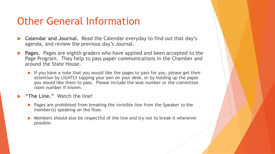## Other General Information

- **Calendar and Journal.** Read the Calendar everyday to find out that day's agenda, and review the previous day's Journal.
- **Pages.** Pages are eighth graders who have applied and been accepted to the Page Program. They help to pass paper communications in the Chamber and around the State House.
	- If you have a note that you would like the pages to pass for you, please get their attention by LIGHTLY tapping your pen on your desk, or by holding up the paper you would like them to pass. Please include the seat number or the committee room number if known.
- **"The Line."** Watch the line!
	- **Pages are prohibited from breaking the invisible line from the Speaker to the** member(s) speaking on the floor.
	- Members should also be respectful of the line and try not to break it whenever possible.